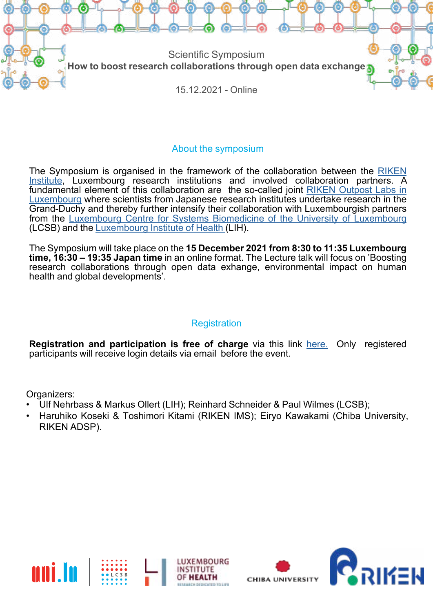

## About the symposium

The Symposium is organised in the framework of the collaboration between the [RIKEN](https://www.riken.jp/en/) [Institute,](https://www.riken.jp/en/) Luxembourg research institutions and involved collaboration partners. A fundamental element of this collaboration are the so-called joint [RIKEN Outpost Labs in](https://wwwen.uni.lu/universitaet/aktuelles/topthema/japanische_spitzenforschung_festigt_verbindung_nach_luxemburg) [Luxembourg](https://wwwen.uni.lu/universitaet/aktuelles/topthema/japanische_spitzenforschung_festigt_verbindung_nach_luxemburg) where scientists from Japanese research institutes undertake research in the Grand-Duchy and thereby further intensify their collaboration with Luxembourgish partners from the [Luxembourg Centre for Systems Biomedicine of the University of Luxembourg](https://wwwfr.uni.lu/lcsb) (LCSB) and the [Luxembourg Institute of Health](https://www.lih.lu) (LIH).

The Symposium will take place on the **15 December 2021 from 8:30 to 11:35 Luxembourg time, 16:30 – 19:35 Japan time** in an online format. The Lecture talk will focus on 'Boosting research collaborations through open data exhange, environmental impact on human health and global developments'.

## **Registration**

**Registration and participation is free of charge** via this link [here.](https://ulsurvey.uni.lu/index.php/523545?lang=en) Only registered participants will receive login details via email before the event.

Organizers:

- Ulf Nehrbass & Markus Ollert (LIH); Reinhard Schneider & Paul Wilmes (LCSB);
- Haruhiko Koseki & Toshimori Kitami (RIKEN IMS); Eiryo Kawakami (Chiba University, RIKEN ADSP).